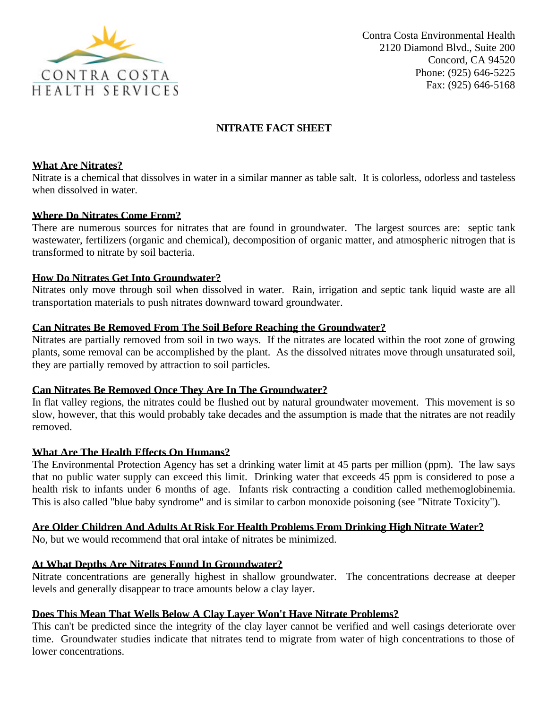

Contra Costa Environmental Health 2120 Diamond Blvd., Suite 200 Concord, CA 94520 Phone: (925) 646-5225 Fax: (925) 646-5168

# **NITRATE FACT SHEET**

### **What Are Nitrates?**

Nitrate is a chemical that dissolves in water in a similar manner as table salt. It is colorless, odorless and tasteless when dissolved in water.

## **Where Do Nitrates Come From?**

There are numerous sources for nitrates that are found in groundwater. The largest sources are: septic tank wastewater, fertilizers (organic and chemical), decomposition of organic matter, and atmospheric nitrogen that is transformed to nitrate by soil bacteria.

## **How Do Nitrates Get Into Groundwater?**

Nitrates only move through soil when dissolved in water. Rain, irrigation and septic tank liquid waste are all transportation materials to push nitrates downward toward groundwater.

## **Can Nitrates Be Removed From The Soil Before Reaching the Groundwater?**

Nitrates are partially removed from soil in two ways. If the nitrates are located within the root zone of growing plants, some removal can be accomplished by the plant. As the dissolved nitrates move through unsaturated soil, they are partially removed by attraction to soil particles.

#### **Can Nitrates Be Removed Once They Are In The Groundwater?**

In flat valley regions, the nitrates could be flushed out by natural groundwater movement. This movement is so slow, however, that this would probably take decades and the assumption is made that the nitrates are not readily removed.

#### **What Are The Health Effects On Humans?**

The Environmental Protection Agency has set a drinking water limit at 45 parts per million (ppm). The law says that no public water supply can exceed this limit. Drinking water that exceeds 45 ppm is considered to pose a health risk to infants under 6 months of age. Infants risk contracting a condition called methemoglobinemia. This is also called "blue baby syndrome" and is similar to carbon monoxide poisoning (see "Nitrate Toxicity").

#### **Are Older Children And Adults At Risk For Health Problems From Drinking High Nitrate Water?**

No, but we would recommend that oral intake of nitrates be minimized.

# **At What Depths Are Nitrates Found In Groundwater?**

Nitrate concentrations are generally highest in shallow groundwater. The concentrations decrease at deeper levels and generally disappear to trace amounts below a clay layer.

# **Does This Mean That Wells Below A Clay Layer Won't Have Nitrate Problems?**

This can't be predicted since the integrity of the clay layer cannot be verified and well casings deteriorate over time. Groundwater studies indicate that nitrates tend to migrate from water of high concentrations to those of lower concentrations.